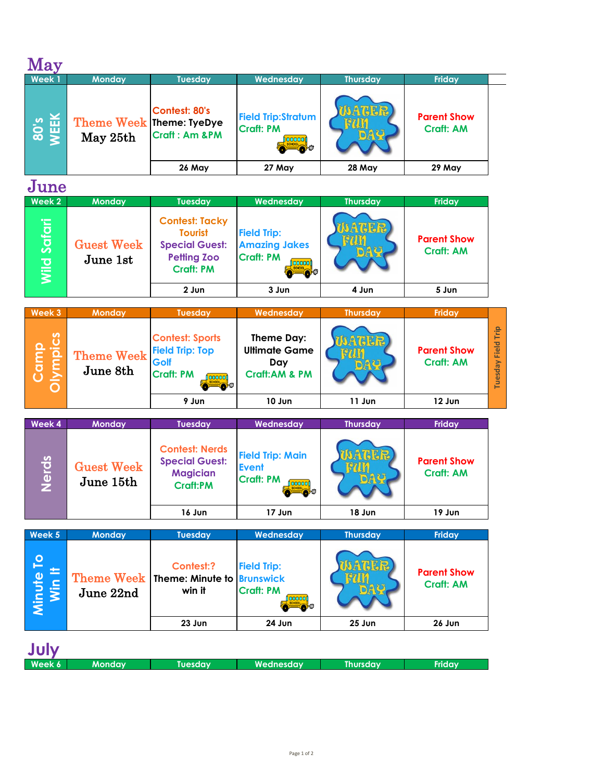| × |  |
|---|--|

| ----<br>Week 1                         | <b>Monday</b>                        | <b>Tuesday</b>                            | Wednesday                                     | <b>Thursday</b> | <b>Friday</b>                          |
|----------------------------------------|--------------------------------------|-------------------------------------------|-----------------------------------------------|-----------------|----------------------------------------|
| <b>S</b><br>S<br>EEK<br>$\overline{8}$ | Theme Week Theme: TyeDye<br>May 25th | Contest: 80's<br><b>Craft: Am &amp;PM</b> | <b>Field Trip:Stratum</b><br><b>Craft: PM</b> |                 | <b>Parent Show</b><br><b>Craft: AM</b> |
|                                        |                                      | 26 May                                    | 27 May                                        | <b>28 May</b>   | 29 May                                 |

## June

| <b>80's</b><br><b>VEEK</b> | Theme Week Theme: TyeDye<br>May 25th | Confest: 80's<br><b>Craft: Am &amp;PM</b><br>26 May                                                        | <b>Field Trip:Stratum</b><br><b>Craft: PM</b><br>annon<br>$\bullet$            | NAIGER,<br>28 May | <b>Parent Show</b><br><b>Craft: AM</b><br>29 May |
|----------------------------|--------------------------------------|------------------------------------------------------------------------------------------------------------|--------------------------------------------------------------------------------|-------------------|--------------------------------------------------|
|                            |                                      |                                                                                                            | 27 May                                                                         |                   |                                                  |
| June                       |                                      |                                                                                                            |                                                                                |                   |                                                  |
| Week 2                     | <b>Monday</b>                        | <b>Tuesday</b>                                                                                             | Wednesday                                                                      | <b>Thursday</b>   | <b>Friday</b>                                    |
| Wild Saf <u>ari</u>        | <b>Guest Week</b><br>June 1st        | <b>Contest: Tacky</b><br><b>Tourist</b><br><b>Special Guest:</b><br><b>Petting Zoo</b><br><b>Craft: PM</b> | <b>Field Trip:</b><br><b>Amazing Jakes</b><br><b>Craft: PM</b><br>ooooon<br>d. | <b>ATER</b>       | <b>Parent Show</b><br><b>Craft: AM</b>           |
|                            |                                      | $2$ Jun                                                                                                    | 3 Jun                                                                          | 4 Jun             | 5 Jun                                            |

| Week 3                | <b>Monday</b>                                           | <b>Tuesday</b>                                                        | Wednesday                                                             | <b>Thursday</b> | Friday                                 |            |
|-----------------------|---------------------------------------------------------|-----------------------------------------------------------------------|-----------------------------------------------------------------------|-----------------|----------------------------------------|------------|
| S<br><u>ي. ہ</u><br>⋍ | Theme $\text{Week}$ $\vert$ Field Trip: Top<br>June 8th | <b>Contest: Sports</b><br>Golf<br><b>Craft: PM</b><br><u>í occooi</u> | Theme Day:<br><b>Ultimate Game</b><br>Day<br><b>Craft:AM &amp; PM</b> |                 | <b>Parent Show</b><br><b>Craft: AM</b> | ⋗<br>resda |
|                       |                                                         | 9 Jun                                                                 | 10 Jun                                                                | 11 Jun          | 12 Jun                                 |            |

| Camp<br>Olympics    | <b>Theme Week</b><br>June 8th  | <b>Contest: Sports</b><br><b>Field Trip: Top</b><br>Golf<br><b>Craft: PM</b><br>ooooon | Theme Day:<br><b>Ultimate Game</b><br>Day<br><b>Craft:AM &amp; PM</b> | <b>MATER</b><br>DAR | <b>Parent Show</b><br><b>Craft: AM</b> |
|---------------------|--------------------------------|----------------------------------------------------------------------------------------|-----------------------------------------------------------------------|---------------------|----------------------------------------|
|                     |                                | 9 Jun                                                                                  | 10 Jun                                                                | 11 Jun              | 12 Jun                                 |
|                     |                                |                                                                                        |                                                                       |                     |                                        |
| Week 4              | <b>Monday</b>                  | <b>Tuesday</b>                                                                         | Wednesday                                                             | <b>Thursday</b>     | Friday                                 |
| Nerds               | <b>Guest Week</b><br>June 15th | <b>Contest: Nerds</b><br><b>Special Guest:</b><br><b>Magician</b><br><b>Craft:PM</b>   | <b>Field Trip: Main</b><br><b>Event</b><br><b>Craft: PM</b><br>annoni | AGER                | <b>Parent Show</b><br><b>Craft: AM</b> |
|                     |                                | 16 Jun                                                                                 | 17 Jun                                                                | 18 Jun              | 19 Jun                                 |
|                     |                                |                                                                                        |                                                                       |                     |                                        |
| Week 5              | <b>Monday</b>                  | <b>Tuesday</b>                                                                         | Wednesday                                                             | <b>Thursday</b>     | <b>Friday</b>                          |
| Minute To<br>Win It | <b>Theme Week</b><br>June 22nd | Contest:?<br>Theme: Minute to<br>win it                                                | <b>Field Trip:</b><br><b>Brunswick</b><br><b>Craft: PM</b>            | ATHER               | <b>Parent Show</b><br><b>Craft: AM</b> |

| Week 5                        | <b>Monday</b> | <b>Tuesday</b>                                                 | Wednesday                                       | <b>Thursday</b> | <b>Friday</b>                          |
|-------------------------------|---------------|----------------------------------------------------------------|-------------------------------------------------|-----------------|----------------------------------------|
| <u> 9</u><br>Minute<br>Win It | June 22nd     | Contest:?<br>Theme Week   Theme: Minute to Brunswick<br>win it | <b>Field Trip:</b><br><b>Craft: PM</b><br>nnnnn |                 | <b>Parent Show</b><br><b>Craft: AM</b> |
|                               |               | 23 Jun                                                         | 24 Jun                                          | $25$ Jun        | 26 Jun                                 |

| July   |               |                |           |                 |               |
|--------|---------------|----------------|-----------|-----------------|---------------|
| Week 6 | <b>Monday</b> | <b>Tuesday</b> | Wednesdav | <b>Thursday</b> | <b>Fridav</b> |